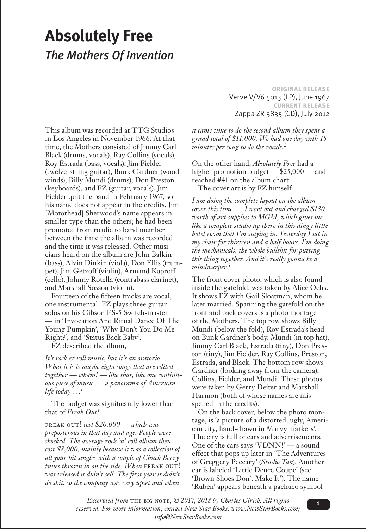# **Absolutely Free** *The Mothers Of Invention*

This album was recorded at TTG Studios in Los Angeles in November 1966. At that time, the Mothers consisted of Jimmy Carl Black (drums, vocals), Ray Collins (vocals), Roy Estrada (bass, vocals), Jim Fielder (twelve-string guitar), Bunk Gardner (woodwinds), Billy Mundi (drums), Don Preston (keyboards), and FZ (guitar, vocals). Jim Fielder quit the band in February 1967, so his name does not appear in the credits. Jim [Motorhead] Sherwood's name appears in smaller type than the others; he had been promoted from roadie to band member between the time the album was recorded and the time it was released. Other musicians heard on the album are John Balkin (bass), Alvin Dinkin (viola), Don Ellis (trumpet), Jim Getzoff (violin), Armand Kaproff (cello), Johnny Rotella (contrabass clarinet), and Marshall Sosson (violin).

Fourteen of the fifteen tracks are vocal, one instrumental. FZ plays three guitar solos on his Gibson ES-5 Switch-master — in 'Invocation And Ritual Dance Of The Young Pumpkin', 'Why Don't You Do Me Right?', and 'Status Back Baby'.

FZ described the album,

*It's rock & roll music, but it's an oratorio . . . What it is is maybe eight songs that are edited together — wham! — like that, like one continuous piece of music . . . a panorama of American life today . . .1*

The budget was significantly lower than that of *Freak Out!*:

freak out! *cost \$20,000 — which was preposterous in that day and age. People were shocked. The average rock 'n' roll album then cost \$8,000, mainly because it was a collection of all your hit singles with a couple of Chuck Berry*  tunes thrown in on the side. When FREAK OUT! *was released it didn't sell. The first year it didn't do shit, so the company was very upset and when* 

**original release** Verve V/V6 5013 (LP), June 1967 **current release** Zappa ZR 3835 (CD), July 2012

*it came time to do the second album they spent a grand total of \$11,000. We had one day with 15 minutes per song to do the vocals.2*

On the other hand, *Absolutely Free* had a higher promotion budget — \$25,000 — and reached #41 on the album chart. The cover art is by FZ himself.

*I am doing the complete layout on the album cover this time . . . I went out and charged \$130 worth of art supplies to MGM, which gives me like a complete studio up there in this dingy little hotel room that I'm staying in. Yesterday I sat in my chair for thirteen and a half hours. I'm doing the mechanicals, the whole bullshit for putting this thing together. And it's really gonna be a mindwarper.3*

The front cover photo, which is also found inside the gatefold, was taken by Alice Ochs. It shows FZ with Gail Sloatman, whom he later married. Spanning the gatefold on the front and back covers is a photo montage of the Mothers. The top row shows Billy Mundi (below the fold), Roy Estrada's head on Bunk Gardner's body, Mundi (in top hat), Jimmy Carl Black, Estrada (tiny), Don Preston (tiny), Jim Fielder, Ray Collins, Preston, Estrada, and Black. The bottom row shows Gardner (looking away from the camera), Collins, Fielder, and Mundi. These photos were taken by Gerry Deiter and Marshall Harmon (both of whose names are misspelled in the credits).

On the back cover, below the photo montage, is 'a picture of a distorted, ugly, American city, hand-drawn in Marvy markers'.4 The city is full of cars and advertisements. One of the cars says 'VDNN!' — a sound effect that pops up later in 'The Adventures of Greggery Peccary' (*Studio Tan*). Another car is labeled 'Little Deuce Coupe' (see 'Brown Shoes Don't Make It'). The name 'Ruben' appears beneath a pachuco symbol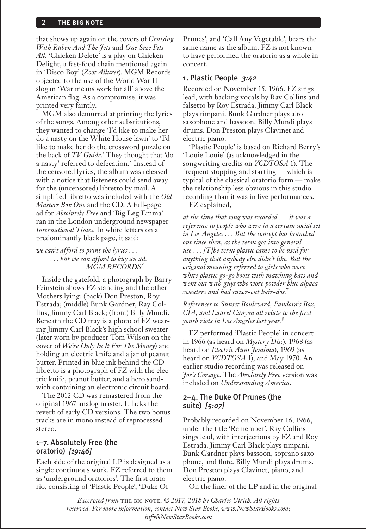#### **THE BIG NOTE**

that shows up again on the covers of *Cruising With Ruben And The Jets* and *One Size Fits All*. 'Chicken Delete' is a play on Chicken Delight, a fast-food chain mentioned again in 'Disco Boy' (*Zoot Allures*). MGM Records objected to the use of the World War II slogan 'War means work for all' above the American flag. As a compromise, it was printed very faintly.

MGM also demurred at printing the lyrics of the songs. Among other substitutions, they wanted to change 'I'd like to make her do a nasty on the White House lawn' to 'I'd like to make her do the crossword puzzle on the back of *TV Guide*.' They thought that 'do a nasty' referred to defecation.<sup>5</sup> Instead of the censored lyrics, the album was released with a notice that listeners could send away for the (uncensored) libretto by mail. A simplified libretto was included with the *Old Masters Box One* and the CD. A full-page ad for *Absolutely Free* and 'Big Leg Emma' ran in the London underground newspaper *International Times*. In white letters on a predominantly black page, it said:

*we can't afford to print the lyrics . . . . . . but we can afford to buy an ad. MGM RECORDS6*

Inside the gatefold, a photograph by Barry Feinstein shows FZ standing and the other Mothers lying: (back) Don Preston, Roy Estrada; (middle) Bunk Gardner, Ray Collins, Jimmy Carl Black; (front) Billy Mundi. Beneath the CD tray is a photo of FZ wearing Jimmy Carl Black's high school sweater (later worn by producer Tom Wilson on the cover of *We're Only In It For The Money*) and holding an electric knife and a jar of peanut butter. Printed in blue ink behind the CD libretto is a photograph of FZ with the electric knife, peanut butter, and a hero sandwich containing an electronic circuit board.

The 2012 CD was remastered from the original 1967 analog master. It lacks the reverb of early CD versions. The two bonus tracks are in mono instead of reprocessed stereo.

#### 1–7. Absolutely Free (the oratorio) *[19:46]*

Each side of the original LP is designed as a single continuous work. FZ referred to them as 'underground oratorios'. The first oratorio, consisting of 'Plastic People', 'Duke Of

Prunes', and 'Call Any Vegetable', bears the same name as the album. FZ is not known to have performed the oratorio as a whole in concert.

#### 1. Plastic People *3:42*

Recorded on November 15, 1966. FZ sings lead, with backing vocals by Ray Collins and falsetto by Roy Estrada. Jimmy Carl Black plays timpani. Bunk Gardner plays alto saxophone and bassoon. Billy Mundi plays drums. Don Preston plays Clavinet and electric piano.

'Plastic People' is based on Richard Berry's 'Louie Louie' (as acknowledged in the songwriting credits on *YCDTOSA* 1). The frequent stopping and starting — which is typical of the classical oratorio form — make the relationship less obvious in this studio recording than it was in live performances. FZ explained,

*at the time that song was recorded . . . it was a reference to people who were in a certain social set in Los Angeles . . . But the concept has branched out since then, as the term got into general use . . . [T]he term plastic came to be used for anything that anybody else didn't like. But the original meaning referred to girls who wore white plastic go-go boots with matching hats and went out with guys who wore powder blue alpaca sweaters and had razor-cut hair-dos.7*

*References to Sunset Boulevard, Pandora's Box, CIA, and Laurel Canyon all relate to the first youth riots in Los Angeles last year.8*

FZ performed 'Plastic People' in concert in 1966 (as heard on *Mystery Disc*), 1968 (as heard on *Electric Aunt Jemima*), 1969 (as heard on *YCDTOSA* 1), and May 1970. An earlier studio recording was released on *Joe's Corsage*. The *Absolutely Free* version was included on *Understanding America*.

#### 2–4. The Duke Of Prunes (the suite) *[5:07]*

Probably recorded on November 16, 1966, under the title 'Remember'. Ray Collins sings lead, with interjections by FZ and Roy Estrada. Jimmy Carl Black plays timpani. Bunk Gardner plays bassoon, soprano saxophone, and flute. Billy Mundi plays drums. Don Preston plays Clavinet, piano, and electric piano.

On the liner of the LP and in the original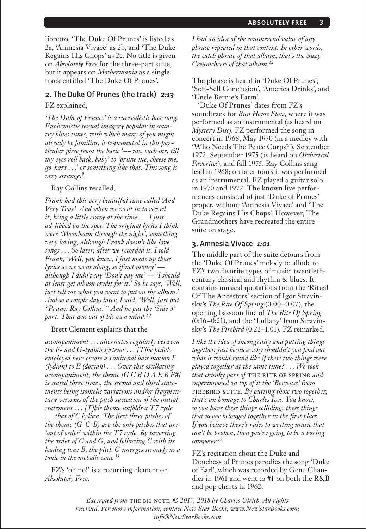libretto, 'The Duke Of Prunes' is listed as 2a, 'Amnesia Vivace' as 2b, and 'The Duke Regains His Chops' as 2c. No title is given on *Absolutely Free* for the three-part suite, but it appears on *Mothermania* as a single track entitled 'The Duke Of Prunes'.

#### 2. The Duke Of Prunes (the track) *2:13*

FZ explained,

*'The Duke of Prunes' is a surrealistic love song. Euphemistic sexual imagery popular in country blues tunes, with which many of you might already be familiar, is transmuted in this particular piece from the basic '–– me, suck me, till my eyes roll back, baby' to 'prune me, cheese me, go-kart . . .' or something like that. This song is very strange.9*

#### Ray Collins recalled,

*Frank had this very beautiful tune called 'And Very True'. And when we went in to record it, being a little crazy at the time . . . I just ad-libbed on the spot. The original lyrics I think were 'Moonbeam through the night', something very loving, although Frank doesn't like love songs . . . So later, after we recorded it, I told Frank, 'Well, you know, I just made up those lyrics as we went along, so if not money' although I didn't say 'Don't pay me' — 'I should at least get album credit for it.' So he says, 'Well, just tell me what you want to put on the album.' And so a couple days later, I said, 'Well, just put "Prune: Ray Collins."' And he put the 'Side 3' part. That was out of his own mind.10*

Brett Clement explains that the

*accompaniment . . . alternates regularly between the F- and G-lydian systems . . . [T]he pedals employed here create a semitonal bass motion F (lydian) to E (dorian) . . . Over this oscillating accompaniment, the theme [G C B D A E B F*#*] is stated three times, the second and third statements being isomelic variations and/or fragmentary versions of the pitch succession of the initial statement . . . [T]his theme unfolds a T7 cycle . . . that of C lydian. The first three pitches of the theme (G-C-B) are the only pitches that are 'out of order' within the T7 cycle. By inverting the order of C and G, and following C with its leading tone B, the pitch C emerges strongly as a tonic in the melodic zone.11*

FZ's 'oh no!' is a recurring element on *Absolutely Free*.

*I had an idea of the commercial value of any phrase repeated in that context. In other words, the catch phrase of that album, that's the Suzy Creamcheese of that album.12*

The phrase is heard in 'Duke Of Prunes', 'Soft-Sell Conclusion', 'America Drinks', and 'Uncle Bernie's Farm'.

'Duke Of Prunes' dates from FZ's soundtrack for *Run Home Slow*, where it was performed as an instrumental (as heard on *Mystery Disc*). FZ performed the song in concert in 1968, May 1970 (in a medley with 'Who Needs The Peace Corps?'), September 1972, September 1975 (as heard on *Orchestral Favorites*), and fall 1975. Ray Collins sang lead in 1968; on later tours it was performed as an instrumental. FZ played a guitar solo in 1970 and 1972. The known live performances consisted of just 'Duke of Prunes' proper, without 'Amnesia Vivace' and 'The Duke Regains His Chops'. However, The Grandmothers have recreated the entire suite on stage.

#### 3. Amnesia Vivace *1:01*

The middle part of the suite detours from the 'Duke Of Prunes' melody to allude to FZ's two favorite types of music: twentiethcentury classical and rhythm & blues. It contains musical quotations from the 'Ritual Of The Ancestors' section of Igor Stravinsky's *The Rite Of Spring* (0:00–0:07), the opening bassoon line of *The Rite Of Spring* (0:16–0:21), and the 'Lullaby' from Stravinsky's *The Firebird* (0:22–1:01). FZ remarked,

*I like the idea of incongruity and putting things together, just because why shouldn't you find out what it would sound like if these two things were played together at the same time? . . . We took that chunky part of* the rite of spring *and superimposed on top of it the 'Berceuse' from*  firebird suite*. By putting those two together, that's an homage to Charles Ives. You know, so you have these things colliding, these things that never belonged together in the first place. If you believe there's rules to writing music that can't be broken, then you're going to be a boring composer.13*

FZ's recitation about the Duke and Douchess of Prunes parodies the song 'Duke of Earl', which was recorded by Gene Chandler in 1961 and went to #1 on both the R&B and pop charts in 1962.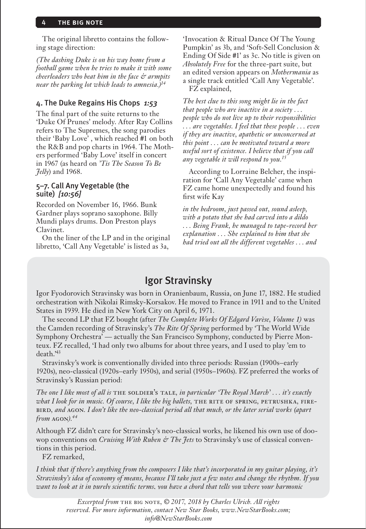#### **THE BIG NOTE**

The original libretto contains the following stage direction:

*(The dashing Duke is on his way home from a football game when he tries to make it with some cheerleaders who beat him in the face & armpits near the parking lot which leads to amnesia.)14*

#### 4. The Duke Regains His Chops *1:53*

The final part of the suite returns to the 'Duke Of Prunes' melody. After Ray Collins refers to The Supremes, the song parodies their 'Baby Love' , which reached #1 on both the R&B and pop charts in 1964. The Mothers performed 'Baby Love' itself in concert in 1967 (as heard on *'Tis The Season To Be Jelly*) and 1968.

### 5–7. Call Any Vegetable (the suite) *[10:56]*

Recorded on November 16, 1966. Bunk Gardner plays soprano saxophone. Billy Mundi plays drums. Don Preston plays Clavinet.

On the liner of the LP and in the original libretto, 'Call Any Vegetable' is listed as 3a,

'Invocation & Ritual Dance Of The Young Pumpkin' as 3b, and 'Soft-Sell Conclusion & Ending Of Side #1' as 3c. No title is given on *Absolutely Free* for the three-part suite, but an edited version appears on *Mothermania* as a single track entitled 'Call Any Vegetable'. FZ explained,

*The best clue to this song might lie in the fact that people who are inactive in a society . . . people who do not live up to their responsibilities . . . are vegetables. I feel that these people . . . even if they are inactive, apathetic or unconcerned at this point . . . can be motivated toward a more useful sort of existence. I believe that if you call any vegetable it will respond to you.15*

According to Lorraine Belcher, the inspiration for 'Call Any Vegetable' came when FZ came home unexpectedly and found his first wife Kay

*in the bedroom, just passed out, sound asleep, with a potato that she had carved into a dildo . . . Being Frank, he managed to tape-record her explanation . . . She explained to him that she had tried out all the different vegetables . . . and* 

## Igor Stravinsky

Igor Fyodorovich Stravinsky was born in Oranienbaum, Russia, on June 17, 1882. He studied orchestration with Nikolai Rimsky-Korsakov. He moved to France in 1911 and to the United States in 1939. He died in New York City on April 6, 1971.

The second LP that FZ bought (after *The Complete Works Of Edgard Varèse, Volume 1)* was the Camden recording of Stravinsky's *The Rite Of Spring* performed by 'The World Wide Symphony Orchestra' — actually the San Francisco Symphony, conducted by Pierre Monteux. FZ recalled, 'I had only two albums for about three years, and I used to play 'em to death.'43

Stravinsky's work is conventionally divided into three periods: Russian (1900s–early 1920s), neo-classical (1920s–early 1950s), and serial (1950s–1960s). FZ preferred the works of Stravinsky's Russian period:

*The one I like most of all is* the soldier's tale*, in particular 'The Royal March' . . . it's exactly what I look for in music. Of course, I like the big ballets,* the rite of spring*,* petrushka*,* firebird*, and* agon*. I don't like the neo-classical period all that much, or the later serial works (apart from* agon*).44*

Although FZ didn't care for Stravinsky's neo-classical works, he likened his own use of doowop conventions on *Cruising With Ruben & The Jets* to Stravinsky's use of classical conventions in this period.

FZ remarked,

*I think that if there's anything from the composers I like that's incorporated in my guitar playing, it's Stravinsky's idea of economy of means, because I'll take just a few notes and change the rhythm. If you want to look at it in purely scientific terms, you have a chord that tells you where your harmonic*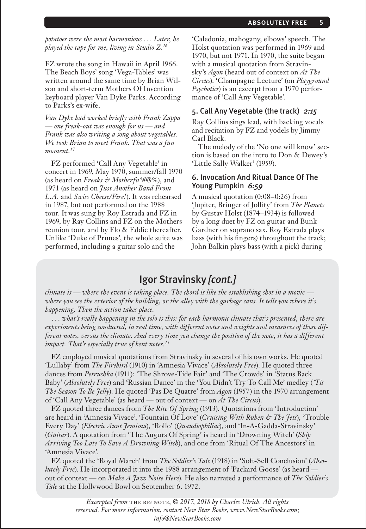*potatoes were the most harmonious . . . Later, he played the tape for me, living in Studio Z.16*

FZ wrote the song in Hawaii in April 1966. The Beach Boys' song 'Vega-Tables' was written around the same time by Brian Wilson and short-term Mothers Of Invention keyboard player Van Dyke Parks. According to Parks's ex-wife,

*Van Dyke had worked briefly with Frank Zappa — one freak-out was enough for us — and Frank was also writing a song about vegetables. We took Brian to meet Frank. That was a fun moment.17*

FZ performed 'Call Any Vegetable' in concert in 1969, May 1970, summer/fall 1970 (as heard on *Freaks & Motherfu\*#@%*), and 1971 (as heard on *Just Another Band From L.A.* and *Swiss Cheese/Fire!*). It was rehearsed in 1987, but not performed on the 1988 tour. It was sung by Roy Estrada and FZ in 1969, by Ray Collins and FZ on the Mothers reunion tour, and by Flo & Eddie thereafter. Unlike 'Duke of Prunes', the whole suite was performed, including a guitar solo and the

'Caledonia, mahogany, elbows' speech. The Holst quotation was performed in 1969 and 1970, but not 1971. In 1970, the suite began with a musical quotation from Stravinsky's *Agon* (heard out of context on *At The Circus*). 'Champagne Lecture' (on *Playground Psychotics*) is an excerpt from a 1970 performance of 'Call Any Vegetable'.

#### 5. Call Any Vegetable (the track) *2:15*

Ray Collins sings lead, with backing vocals and recitation by FZ and yodels by Jimmy Carl Black.

The melody of the 'No one will know' section is based on the intro to Don & Dewey's 'Little Sally Walker' (1959).

#### 6. Invocation And Ritual Dance Of The Young Pumpkin *6:59*

A musical quotation (0:08–0:26) from 'Jupiter, Bringer of Jollity' from *The Planets* by Gustav Holst (1874–1934) is followed by a long duet by FZ on guitar and Bunk Gardner on soprano sax. Roy Estrada plays bass (with his fingers) throughout the track; John Balkin plays bass (with a pick) during

## Igor Stravinsky *[cont.]*

*climate is — where the event is taking place. The chord is like the establishing shot in a movie where you see the exterior of the building, or the alley with the garbage cans. It tells you where it's happening. Then the action takes place.*

*. . . what's really happening in the solo is this: for each harmonic climate that's presented, there are experiments being conducted, in real time, with different notes and weights and measures of those different notes, versus the climate. And every time you change the position of the note, it has a different impact. That's especially true of bent notes.45*

FZ employed musical quotations from Stravinsky in several of his own works. He quoted 'Lullaby' from *The Firebird* (1910) in 'Amnesia Vivace' (*Absolutely Free*). He quoted three dances from *Petrushka* (1911): 'The Shrove-Tide Fair' and 'The Crowds' in 'Status Back Baby' (*Absolutely Free*) and 'Russian Dance' in the 'You Didn't Try To Call Me' medley (*'Tis The Season To Be Jelly*). He quoted 'Pas De Quatre' from *Agon* (1957) in the 1970 arrangement of 'Call Any Vegetable' (as heard — out of context — on *At The Circus*).

FZ quoted three dances from *The Rite Of Spring* (1913). Quotations from 'Introduction' are heard in 'Amnesia Vivace', 'Fountain Of Love' (*Cruising With Ruben & The Jets*), 'Trouble Every Day' (*Electric Aunt Jemima*), 'Rollo' (*Quaudiophiliac*), and 'In-A-Gadda-Stravinsky' (*Guitar*). A quotation from 'The Augurs Of Spring' is heard in 'Drowning Witch' (*Ship Arriving Too Late To Save A Drowning Witch*), and one from 'Ritual Of The Ancestors' in 'Amnesia Vivace'.

FZ quoted the 'Royal March' from *The Soldier's Tale* (1918) in 'Soft-Sell Conclusion' (*Absolutely Free*). He incorporated it into the 1988 arrangement of 'Packard Goose' (as heard out of context — on *Make A Jazz Noise Here*). He also narrated a performance of *The Soldier's Tale* at the Hollywood Bowl on September 6, 1972.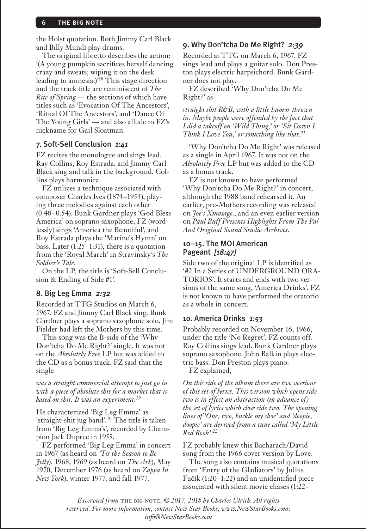#### **THE BIG NOTE**

the Holst quotation. Both Jimmy Carl Black and Billy Mundi play drums.

The original libretto describes the action: '(A young pumpkin sacrifices herself dancing crazy and sweats; wiping it on the desk leading to amnesia.)<sup>718</sup> This stage direction and the track title are reminiscent of *The Rite of Spring* — the sections of which have titles such as 'Evocation Of The Ancestors', 'Ritual Of The Ancestors', and 'Dance Of The Young Girls' — and also allude to FZ's nickname for Gail Sloatman.

#### 7. Soft-Sell Conclusion *1:41*

FZ recites the monologue and sings lead. Ray Collins, Roy Estrada, and Jimmy Carl Black sing and talk in the background. Collins plays harmonica.

FZ utilizes a technique associated with composer Charles Ives (1874–1954), playing three melodies against each other (0:48–0:54). Bunk Gardner plays 'God Bless America' on soprano saxophone, FZ (wordlessly) sings 'America the Beautiful', and Roy Estrada plays the 'Marine's Hymn' on bass. Later (1:25–1:31), there is a quotation from the 'Royal March' in Stravinsky's *The Soldier's Tale*.

On the LP, the title is 'Soft-Sell Conclusion & Ending of Side #1'.

#### 8. Big Leg Emma *2:32*

Recorded at TTG Studios on March 6, 1967. FZ and Jimmy Carl Black sing. Bunk Gardner plays a soprano saxophone solo. Jim Fielder had left the Mothers by this time.

This song was the B-side of the 'Why Don'tcha Do Me Right?' single. It was not on the *Absolutely Free* LP but was added to the CD as a bonus track. FZ said that the single

#### *was a straight commercial attempt to just go in with a piece of absolute shit for a market that is based on shit. It was an experiment.19*

He characterized 'Big Leg Emma' as 'straight-shit jug band'.20 The title is taken from 'Big Leg Emma's', recorded by Champion Jack Dupree in 1955.

FZ performed 'Big Leg Emma' in concert in 1967 (as heard on *'Tis the Season to Be Jelly*), 1968, 1969 (as heard on *The Ark*), May 1970, December 1976 (as heard on *Zappa In New York*), winter 1977, and fall 1977.

#### 9. Why Don'tcha Do Me Right? *2:39*

Recorded at TTG on March 6, 1967. FZ sings lead and plays a guitar solo. Don Preston plays electric harpsichord. Bunk Gardner does not play.

FZ described 'Why Don'tcha Do Me Right?' as

*straight shit R&B, with a little humor thrown in. Maybe people were offended by the fact that I did a takeoff on 'Wild Thing,' or 'Sit Down I Think I Love You,' or something like that.21*

'Why Don'tcha Do Me Right' was released as a single in April 1967. It was not on the *Absolutely Free* LP but was added to the CD as a bonus track.

FZ is not known to have performed 'Why Don'tcha Do Me Right?' in concert, although the 1988 band rehearsed it. An earlier, pre-Mothers recording was released on *Joe's Xmasage*., and an even earlier version on *Paul Buff Presents Highlights From The Pal And Original Sound Studio Archives*.

#### 10–15. The MOI American Pageant *[18:47]*

Side two of the original LP is identified as '#2 In a Series of UNDERGROUND ORA-TORIOS'. It starts and ends with two versions of the same song, 'America Drinks'. FZ is not known to have performed the oratorio as a whole in concert.

#### 10. America Drinks *1:53*

Probably recorded on November 16, 1966, under the title 'No Regret'. FZ counts off. Ray Collins sings lead. Bunk Gardner plays soprano saxophone. John Balkin plays electric bass. Don Preston plays piano.

FZ explained,

*On this side of the album there are two versions of this set of lyrics. This version which opens side two is in effect an abstraction (in advance of) the set of lyrics which close side two. The opening lines of 'One, two, buckle my shoe' and 'doopie, doopie' are derived from a tune called 'My Little Red Book'.22*

FZ probably knew this Bacharach/David song from the 1966 cover version by Love.

The song also contains musical quotations from 'Entry of the Gladiators' by Julius Fučík (1:20–1:22) and an unidentified piece associated with silent movie chases (1:22–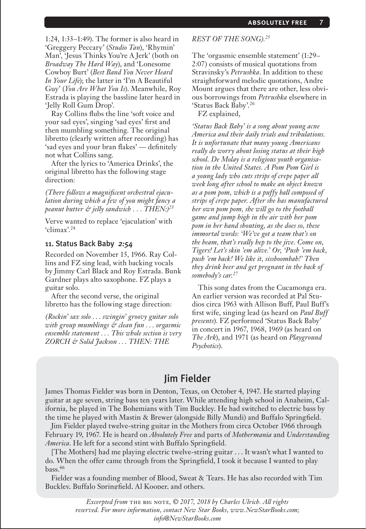1:24, 1:33–1:49). The former is also heard in 'Greggery Peccary' (*Studio Tan*), 'Rhymin' Man', 'Jesus Thinks You're A Jerk' (both on *Broadway The Hard Way*), and 'Lonesome Cowboy Burt' (*Best Band You Never Heard In Your Life*); the latter in 'I'm A Beautiful Guy' (*You Are What You Is*). Meanwhile, Roy Estrada is playing the bassline later heard in 'Jelly Roll Gum Drop'.

Ray Collins flubs the line 'soft voice and your sad eyes', singing 'sad eyes' first and then mumbling something. The original libretto (clearly written after recording) has 'sad eyes and your bran flakes' — definitely not what Collins sang.

After the lyrics to 'America Drinks', the original libretto has the following stage direction:

*(There follows a magnificent orchestral ejaculation during which a few of you might fancy a peanut butter & jelly sandwich . . . THEN:)23*

Verve wanted to replace 'ejaculation' with 'climax'.24

#### 11. Status Back Baby *2:54*

Recorded on November 15, 1966. Ray Collins and FZ sing lead, with backing vocals by Jimmy Carl Black and Roy Estrada. Bunk Gardner plays alto saxophone. FZ plays a guitar solo.

After the second verse, the original libretto has the following stage direction:

*(Rockin' sax solo . . . swingin' groovy guitar solo with group mumblings & clean fun . . . orgasmic ensemble statement . . . This whole section is very ZORCH & Solid Jackson . . . THEN: THE* 

#### *REST OF THE SONG).25*

The 'orgasmic ensemble statement' (1:29– 2:07) consists of musical quotations from Stravinsky's *Petrushka*. In addition to these straightforward melodic quotations, Andre Mount argues that there are other, less obvious borrowings from *Petrushka* elsewhere in 'Status Back Baby'.26

FZ explained,

*'Status Back Baby' is a song about young acne America and their daily trials and tribulations. It is unfortunate that many young Americans really do worry about losing status at their high school. De Molay is a religious youth organisation in the United States. A Pom Pom Girl is a young lady who cuts strips of crepe paper all week long after school to make an object known as a pom pom, which is a puffy ball composed of strips of crepe paper. After she has manufactured her own pom pom, she will go to the football game and jump high in the air with her pom pom in her hand shouting, as she does so, these immortal words: 'We've got a team that's on the beam, that's really hep to the jive. Come on, Tigers! Let's skin 'em alive.' Or, 'Push 'em back, push 'em back! We like it, sissboombah!' Then they drink beer and get pregnant in the back of somebody's car.27*

This song dates from the Cucamonga era. An earlier version was recorded at Pal Studios circa 1963 with Allison Buff, Paul Buff's first wife, singing lead (as heard on *Paul Buff presents*). FZ performed 'Status Back Baby' in concert in 1967, 1968, 1969 (as heard on *The Ark*), and 1971 (as heard on *Playground Psychotics*).

## Jim Fielder

James Thomas Fielder was born in Denton, Texas, on October 4, 1947. He started playing guitar at age seven, string bass ten years later. While attending high school in Anaheim, California, he played in The Bohemians with Tim Buckley. He had switched to electric bass by the time he played with Mastin & Brewer (alongside Billy Mundi) and Buffalo Springfield.

Jim Fielder played twelve-string guitar in the Mothers from circa October 1966 through February 19, 1967. He is heard on *Absolutely Free* and parts of *Mothermania* and *Understanding America*. He left for a second stint with Buffalo Springfield.

[The Mothers] had me playing electric twelve-string guitar . . . It wasn't what I wanted to do. When the offer came through from the Springfield, I took it because I wanted to play bass.46

Fielder was a founding member of Blood, Sweat & Tears. He has also recorded with Tim Buckley, Buffalo Springfield, Al Kooper, and others.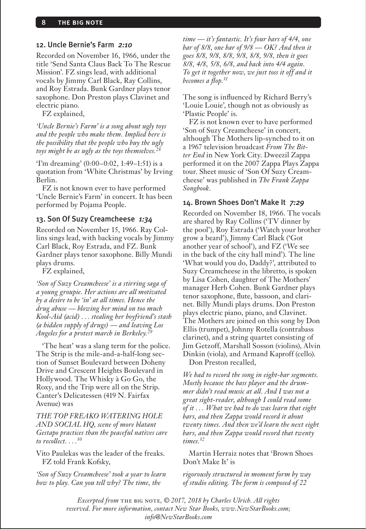#### 12. Uncle Bernie's Farm *2:10*

Recorded on November 16, 1966, under the title 'Send Santa Claus Back To The Rescue Mission'. FZ sings lead, with additional vocals by Jimmy Carl Black, Ray Collins, and Roy Estrada. Bunk Gardner plays tenor saxophone. Don Preston plays Clavinet and electric piano.

FZ explained,

*'Uncle Bernie's Farm' is a song about ugly toys and the people who make them. Implied here is the possibility that the people who buy the ugly*  toys might be as ugly as the toys themselves.<sup>2</sup>

'I'm dreaming' (0:00–0:02, 1:49–1:51) is a quotation from 'White Christmas' by Irving Berlin.

FZ is not known ever to have performed 'Uncle Bernie's Farm' in concert. It has been performed by Pojama People.

#### 13. Son Of Suzy Creamcheese *1:34*

Recorded on November 15, 1966. Ray Collins sings lead, with backing vocals by Jimmy Carl Black, Roy Estrada, and FZ. Bunk Gardner plays tenor saxophone. Billy Mundi plays drums.

FZ explained,

*'Son of Suzy Creamcheese' is a stirring saga of a young groupie. Her actions are all motivated by a desire to be 'in' at all times. Hence the drug abuse — blowing her mind on too much Kool-Aid (acid) . . . stealing her boyfriend's stash (a hidden supply of drugs) — and leaving Los Angeles for a protest march in Berkeley.29*

'The heat' was a slang term for the police. The Strip is the mile-and-a-half-long section of Sunset Boulevard between Doheny Drive and Crescent Heights Boulevard in Hollywood. The Whisky à Go Go, the Roxy, and the Trip were all on the Strip. Canter's Delicatessen (419 N. Fairfax Avenue) was

*THE TOP FREAKO WATERING HOLE AND SOCIAL HQ, scene of more blatant Gestapo practices than the peaceful natives care to recollect. . . .30*

Vito Paulekas was the leader of the freaks. FZ told Frank Kofsky,

*'Son of Suzy Creamcheese' took a year to learn how to play. Can you tell why? The time, the* 

*time — it's fantastic. It's four bars of 4/4, one bar of 8/8, one bar of 9/8 — OK? And then it goes 8/8, 9/8, 8/8, 9/8, 8/8, 9/8, then it goes 8/8, 4/8, 5/8, 6/8, and back into 4/4 again. To get it together now, we just toss it off and it becomes a flop.31*

The song is influenced by Richard Berry's 'Louie Louie', though not as obviously as 'Plastic People' is.

FZ is not known ever to have performed 'Son of Suzy Creamcheese' in concert, although The Mothers lip-synched to it on a 1967 television broadcast *From The Bitter End* in New York City. Dweezil Zappa performed it on the 2007 Zappa Plays Zappa tour. Sheet music of 'Son Of Suzy Creamcheese' was published in *The Frank Zappa Songbook*.

#### 14. Brown Shoes Don't Make It *7:29*

Recorded on November 18, 1966. The vocals are shared by Ray Collins ('TV dinner by the pool'), Roy Estrada ('Watch your brother grow a beard'), Jimmy Carl Black ('Got another year of school'), and FZ ('We see in the back of the city hall mind'). The line 'What would you do, Daddy?', attributed to Suzy Creamcheese in the libretto, is spoken by Lisa Cohen, daughter of The Mothers' manager Herb Cohen. Bunk Gardner plays tenor saxophone, flute, bassoon, and clarinet. Billy Mundi plays drums. Don Preston plays electric piano, piano, and Clavinet. The Mothers are joined on this song by Don Ellis (trumpet), Johnny Rotella (contrabass clarinet), and a string quartet consisting of Jim Getzoff, Marshall Sosson (violins), Alvin Dinkin (viola), and Armand Kaproff (cello). Don Preston recalled,

*We had to record the song in eight-bar segments. Mostly because the bass player and the drummer didn't read music at all. And I was not a great sight-reader, although I could read some of it . . . What we had to do was learn that eight bars, and then Zappa would record it about twenty times. And then we'd learn the next eight bars, and then Zappa would record that twenty times.32*

Martin Herraiz notes that 'Brown Shoes Don't Make It' is

*rigorously structured in moment form by way of studio editing. The form is composed of 22*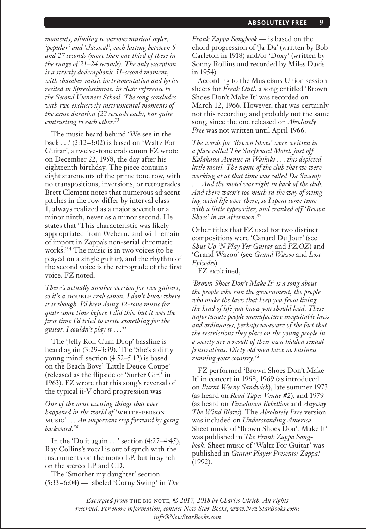*moments, alluding to various musical styles, 'popular' and 'classical', each lasting between 5 and 27 seconds (more than one third of these in the range of 21–24 seconds). The only exception is a strictly dodecaphonic 51-second moment, with chamber music instrumentation and lyrics recited in Sprechstimme, in clear reference to the Second Viennese School. The song concludes with two exclusively instrumental moments of the same duration (22 seconds each), but quite contrasting to each other.33*

The music heard behind 'We see in the back . . .' (2:12–3:02) is based on 'Waltz For Guitar', a twelve-tone crab canon FZ wrote on December 22, 1958, the day after his eighteenth birthday. The piece contains eight statements of the prime tone row, with no transpositions, inversions, or retrogrades. Brett Clement notes that numerous adjacent pitches in the row differ by interval class 1, always realized as a major seventh or a minor ninth, never as a minor second. He states that 'This characteristic was likely appropriated from Webern, and will remain of import in Zappa's non-serial chromatic works.'34 The music is in two voices (to be played on a single guitar), and the rhythm of the second voice is the retrograde of the first voice. FZ noted,

*There's actually another version for two guitars, so it's a* DOUBLE *crab canon.* I don't know where *it is though. I'd been doing 12-tone music for quite some time before I did this, but it was the first time I'd tried to write something for the guitar. I couldn't play it . . .35*

The 'Jelly Roll Gum Drop' bassline is heard again (3:29–3:39). The 'She's a dirty young mind' section (4:52–5:12) is based on the Beach Boys' 'Little Deuce Coupe' (released as the flipside of 'Surfer Girl' in 1963). FZ wrote that this song's reversal of the typical ii-V chord progression was

*One of the most exciting things that ever happened in the world of 'WHITE-PERSON* music*' . . . An important step forward by going backward.36*

In the 'Do it again  $\ldots$ ' section  $(4:27-4:45)$ , Ray Collins's vocal is out of synch with the instruments on the mono LP, but in synch on the stereo LP and CD.

The 'Smother my daughter' section (5:33–6:04) — labeled 'Corny Swing' in *The*  *Frank Zappa Songbook* — is based on the chord progression of 'Ja-Da' (written by Bob Carleton in 1918) and/or 'Doxy' (written by Sonny Rollins and recorded by Miles Davis in 1954).

According to the Musicians Union session sheets for *Freak Out!*, a song entitled 'Brown Shoes Don't Make It' was recorded on March 12, 1966. However, that was certainly not this recording and probably not the same song, since the one released on *Absolutely Free* was not written until April 1966:

*The words for 'Brown Shoes' were written in a place called The Surfboard Motel, just off Kalakaua Avenue in Waikiki . . . this depleted little motel. The name of the club that we were working at at that time was called Da Swamp . . . And the motel was right in back of the club. And there wasn't too much in the way of swinging social life over there, so I spent some time with a little typewriter, and cranked off 'Brown Shoes' in an afternoon.37*

Other titles that FZ used for two distinct compositions were 'Canard Du Jour' (see *Shut Up 'N Play Yer Guitar* and *FZ:OZ*) and 'Grand Wazoo' (see *Grand Wazoo* and *Lost Episodes*).

FZ explained,

*'Brown Shoes Don't Make It' is a song about the people who run the government, the people who make the laws that keep you from living the kind of life you know you should lead. These unfortunate people manufacture inequitable laws and ordinances, perhaps unaware of the fact that the restrictions they place on the young people in a society are a result of their own hidden sexual frustrations. Dirty old men have no business running your country.38*

FZ performed 'Brown Shoes Don't Make It' in concert in 1968, 1969 (as introduced on *Burnt Weeny Sandwich*), late summer 1973 (as heard on *Road Tapes Venue #2*), and 1979 (as heard on *Tinseltown Rebellion* and *Anyway The Wind Blows*). The *Absolutely Free* version was included on *Understanding America*. Sheet music of 'Brown Shoes Don't Make It' was published in *The Frank Zappa Songbook*. Sheet music of 'Waltz For Guitar' was published in *Guitar Player Presents: Zappa!* (1992).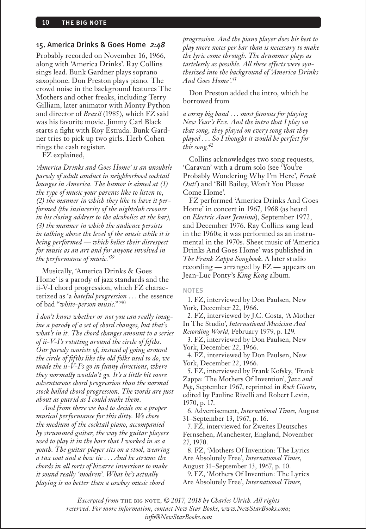#### 15. America Drinks & Goes Home *2:48*

Probably recorded on November 16, 1966, along with 'America Drinks'. Ray Collins sings lead. Bunk Gardner plays soprano saxophone. Don Preston plays piano. The crowd noise in the background features The Mothers and other freaks, including Terry Gilliam, later animator with Monty Python and director of *Brazil* (1985), which FZ said was his favorite movie. Jimmy Carl Black starts a fight with Roy Estrada. Bunk Gardner tries to pick up two girls. Herb Cohen rings the cash register.

FZ explained,

*'America Drinks and Goes Home' is an unsubtle parody of adult conduct in neighborhood cocktail lounges in America. The humor is aimed at (1) the type of music your parents like to listen to, (2) the manner in which they like to have it performed (the insincerity of the nightclub crooner in his closing address to the alcoholics at the bar), (3) the manner in which the audience persists in talking above the level of the music while it is being performed — which belies their disrespect for music as an art and for anyone involved in the performance of music.'39*

Musically, 'America Drinks & Goes Home' is a parody of jazz standards and the ii-V-I chord progression, which FZ characterized as 'a *hateful progression* . . . the essence of bad "*white-person music*."'40

*I don't know whether or not you can really imagine a parody of a set of chord changes, but that's what's in it. The chord changes amount to a series of ii-V-I's rotating around the circle of fifths. Our parody consists of, instead of going around the circle of fifths like the old folks used to do, we made the ii-V-I's go in funny directions, where they normally wouldn't go. It's a little bit more adventurous chord progression than the normal stock ballad chord progression. The words are just about as putrid as I could make them.*

*And from there we had to decide on a proper musical performance for this ditty. We chose the medium of the cocktail piano, accompanied by strummed guitar, the way the guitar players used to play it in the bars that I worked in as a youth. The guitar player sits on a stool, wearing a tux coat and a bow tie . . . And he strums the chords in all sorts of bizarre inversions to make it sound really 'modren'. What he's actually playing is no better than a cowboy music chord* 

*progression. And the piano player does his best to play more notes per bar than is necessary to make the lyric come through. The drummer plays as tastelessly as possible. All these effects were synthesized into the background of 'America Drinks And Goes Home'.41*

Don Preston added the intro, which he borrowed from

*a corny big band . . . most famous for playing New Year's Eve. And the intro that I play on that song, they played on every song that they played . . . So I thought it would be perfect for this song.42*

Collins acknowledges two song requests, 'Caravan' with a drum solo (see 'You're Probably Wondering Why I'm Here', *Freak Out!*) and 'Bill Bailey, Won't You Please Come Home'.

FZ performed 'America Drinks And Goes Home' in concert in 1967, 1968 (as heard on *Electric Aunt Jemima*), September 1972, and December 1976. Ray Collins sang lead in the 1960s; it was performed as an instrumental in the 1970s. Sheet music of 'America Drinks And Goes Home' was published in *The Frank Zappa Songbook*. A later studio recording — arranged by FZ — appears on Jean-Luc Ponty's *King Kong* album.

#### NOTES

1. FZ, interviewed by Don Paulsen, New York, December 22, 1966.

2. FZ, interviewed by J.C. Costa, 'A Mother In The Studio', *International Musician And Recording World*, February 1979, p. 129.

3. FZ, interviewed by Don Paulsen, New York, December 22, 1966.

4. FZ, interviewed by Don Paulsen, New York, December 22, 1966.

5. FZ, interviewed by Frank Kofsky, 'Frank Zappa: The Mothers Of Invention', *Jazz and Pop*, September 1967, reprinted in *Rock Giants*, edited by Pauline Rivelli and Robert Levin, 1970, p. 17.

6. Advertisement, *International Times*, August 31–September 13, 1967, p. 16.

7. FZ, interviewed for Zweites Deutsches Fernsehen, Manchester, England, November 27, 1970.

8. FZ, 'Mothers Of Invention: The Lyrics Are Absolutely Free', *International Times*, August 31–September 13, 1967, p. 10. 9. FZ, 'Mothers Of Invention: The Lyrics

Are Absolutely Free', *International Times*,